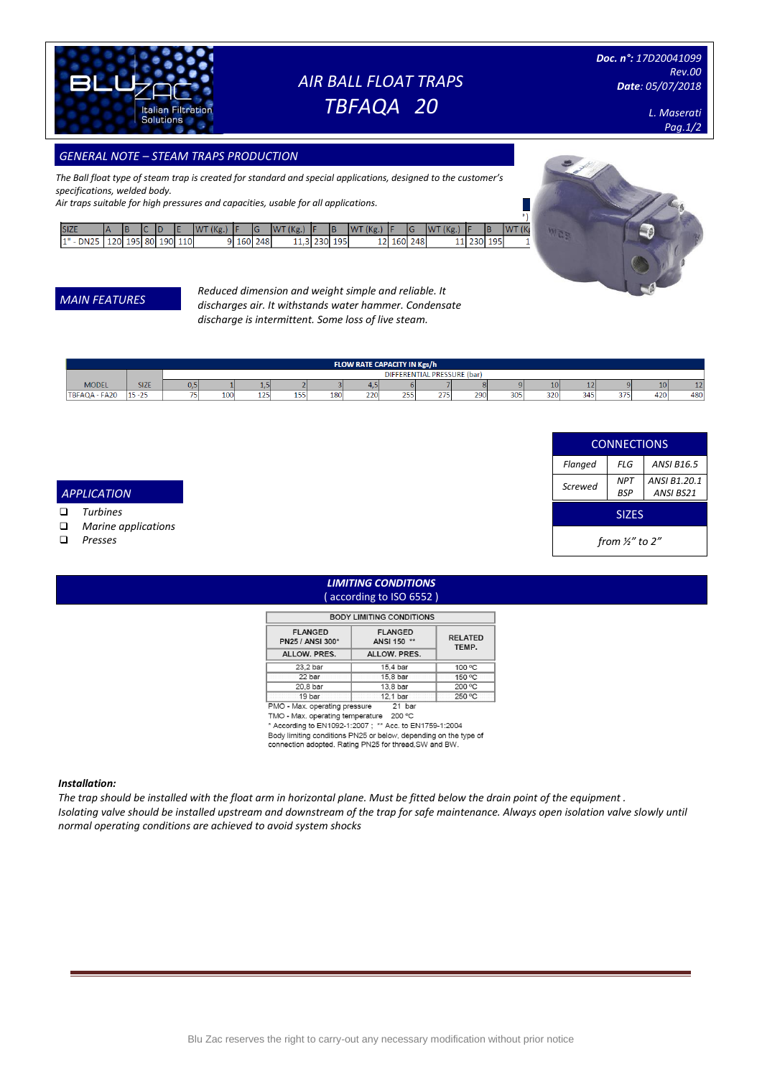

# *AIR BALL FLOAT TRAPS TBFAQA 20*

*Doc. n°: 17D20041099 Rev.00 Date: 05/07/2018*

SIZES

*BSP*

*ANSI B1.20.1 ANSI BS21*

*Screwed NPT*

 $\frac{1}{2}$ 

Wee

**CONNECTIONS** *Flanged FLG ANSI B16.5*

*from ½" to 2"*

*L. Maserati Pag.1/2*

## *GENERAL NOTE – STEAM TRAPS PRODUCTION*

*The Ball float type of steam trap is created for standard and special applications, designed to the customer's specifications, welded body.*

*Air traps suitable for high pressures and capacities, usable for all applications.*

| <b>SIZE</b> |     |        |     |     | (Kg)<br>W. |     |     | $Kg_{\cdot}$<br><b>WT</b> |         | (Kg.,<br><b>IWT</b> |     |     | (Kg)<br><b>AWT</b> |     |     | <b>IWT</b><br>w |
|-------------|-----|--------|-----|-----|------------|-----|-----|---------------------------|---------|---------------------|-----|-----|--------------------|-----|-----|-----------------|
| <b>DN25</b> | 120 | 195 80 | 190 | 110 |            | 160 | 248 | $\mathbf{a}$<br>11.91     | 230 195 | 12                  | 160 | 248 |                    | 230 | 195 |                 |

### *MAIN FEATURES*

*Reduced dimension and weight simple and reliable. It discharges air. It withstands water hammer. Condensate discharge is intermittent. Some loss of live steam.*

| <b>FLOW RATE CAPACITY IN Kgs/h</b> |             |                             |     |                             |              |     |     |     |     |     |     |     |     |                |                 |     |
|------------------------------------|-------------|-----------------------------|-----|-----------------------------|--------------|-----|-----|-----|-----|-----|-----|-----|-----|----------------|-----------------|-----|
|                                    |             | DIFFERENTIAL PRESSURE (bar) |     |                             |              |     |     |     |     |     |     |     |     |                |                 |     |
| <b>MODEL</b>                       | <b>SIZE</b> | 0.5                         |     |                             |              |     |     |     |     |     |     | 10  |     |                | 10 <sup>1</sup> |     |
| TBFAQA - FA20                      | $15 - 25$   |                             | 100 | $\sim$ $\sim$ $\sim$<br>125 | $-$<br>ولايت | 180 | 220 | 255 | 275 | 290 | 305 | 320 | 345 | $\sim$ $ \sim$ | 420             | 480 |

#### ❑ *Steam mains*  ❑ *Tracing lines APPLICATION*

❑ *Turbines*

❑ *Marine applications* 

❑ *Presses*

### *LIMITING CONDITIONS* ( according to ISO 6552 )

| <b>BUDY LIMITING CONDITIONS</b>    |                               |                         |  |  |  |  |  |  |  |  |
|------------------------------------|-------------------------------|-------------------------|--|--|--|--|--|--|--|--|
| <b>FLANGED</b><br>PN25 / ANSI 300* | <b>FLANGED</b><br>ANSI 150 ** | <b>RELATED</b><br>TEMP. |  |  |  |  |  |  |  |  |
| ALLOW. PRES.                       | ALLOW. PRES.                  |                         |  |  |  |  |  |  |  |  |
| 23.2 bar                           | 15.4 bar                      | 100 °C                  |  |  |  |  |  |  |  |  |
| 22 bar                             | 15,8 bar                      | 150 °C                  |  |  |  |  |  |  |  |  |
| 20.8 bar                           | 13.8 bar                      | 200 °C                  |  |  |  |  |  |  |  |  |
| 19 bar                             | 12,1 bar                      | 250 °C                  |  |  |  |  |  |  |  |  |
| PMO - Max. operating pressure      | 21<br>bar                     |                         |  |  |  |  |  |  |  |  |

TMO - Max. operating temperature 200 °C<br>
\* According to EN1092-1:2007 ; \*\* Acc. to EN1759-1:2004 Body limiting conditions PN25 or below, depending on the type of<br>connection adopted. Rating PN25 for thread, SW and BW.

#### *Installation:*

*The trap should be installed with the float arm in horizontal plane. Must be fitted below the drain point of the equipment . Isolating valve should be installed upstream and downstream of the trap for safe maintenance. Always open isolation valve slowly until normal operating conditions are achieved to avoid system shocks*